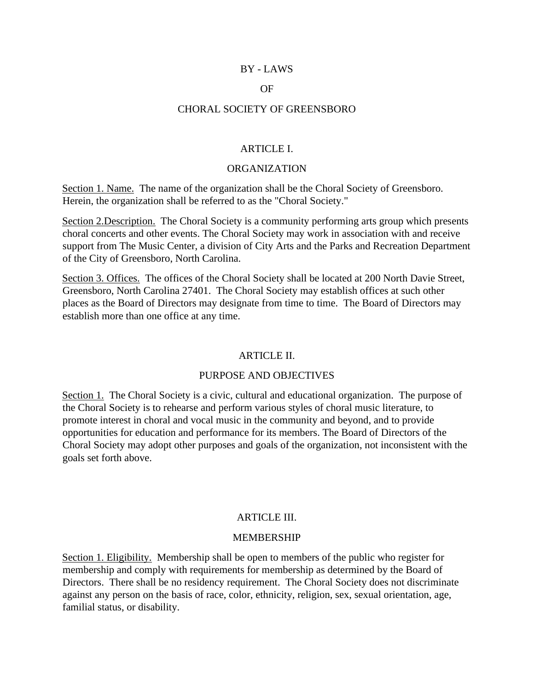### BY - LAWS

### OF

#### CHORAL SOCIETY OF GREENSBORO

### ARTICLE I.

#### ORGANIZATION

Section 1. Name. The name of the organization shall be the Choral Society of Greensboro. Herein, the organization shall be referred to as the "Choral Society."

Section 2.Description. The Choral Society is a community performing arts group which presents choral concerts and other events. The Choral Society may work in association with and receive support from The Music Center, a division of City Arts and the Parks and Recreation Department of the City of Greensboro, North Carolina.

Section 3. Offices. The offices of the Choral Society shall be located at 200 North Davie Street, Greensboro, North Carolina 27401. The Choral Society may establish offices at such other places as the Board of Directors may designate from time to time. The Board of Directors may establish more than one office at any time.

#### ARTICLE II.

### PURPOSE AND OBJECTIVES

Section 1. The Choral Society is a civic, cultural and educational organization. The purpose of the Choral Society is to rehearse and perform various styles of choral music literature, to promote interest in choral and vocal music in the community and beyond, and to provide opportunities for education and performance for its members. The Board of Directors of the Choral Society may adopt other purposes and goals of the organization, not inconsistent with the goals set forth above.

### ARTICLE III.

#### MEMBERSHIP

Section 1. Eligibility. Membership shall be open to members of the public who register for membership and comply with requirements for membership as determined by the Board of Directors. There shall be no residency requirement. The Choral Society does not discriminate against any person on the basis of race, color, ethnicity, religion, sex, sexual orientation, age, familial status, or disability.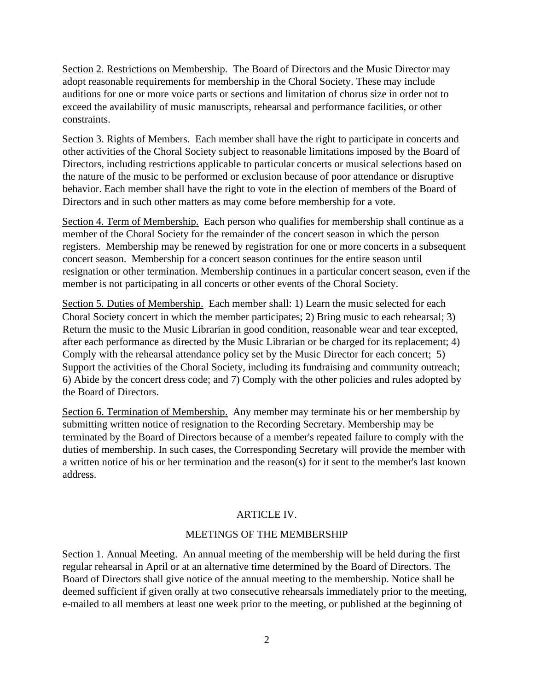Section 2. Restrictions on Membership. The Board of Directors and the Music Director may adopt reasonable requirements for membership in the Choral Society. These may include auditions for one or more voice parts or sections and limitation of chorus size in order not to exceed the availability of music manuscripts, rehearsal and performance facilities, or other constraints.

Section 3. Rights of Members. Each member shall have the right to participate in concerts and other activities of the Choral Society subject to reasonable limitations imposed by the Board of Directors, including restrictions applicable to particular concerts or musical selections based on the nature of the music to be performed or exclusion because of poor attendance or disruptive behavior. Each member shall have the right to vote in the election of members of the Board of Directors and in such other matters as may come before membership for a vote.

Section 4. Term of Membership. Each person who qualifies for membership shall continue as a member of the Choral Society for the remainder of the concert season in which the person registers. Membership may be renewed by registration for one or more concerts in a subsequent concert season. Membership for a concert season continues for the entire season until resignation or other termination. Membership continues in a particular concert season, even if the member is not participating in all concerts or other events of the Choral Society.

Section 5. Duties of Membership. Each member shall: 1) Learn the music selected for each Choral Society concert in which the member participates; 2) Bring music to each rehearsal; 3) Return the music to the Music Librarian in good condition, reasonable wear and tear excepted, after each performance as directed by the Music Librarian or be charged for its replacement; 4) Comply with the rehearsal attendance policy set by the Music Director for each concert; 5) Support the activities of the Choral Society, including its fundraising and community outreach; 6) Abide by the concert dress code; and 7) Comply with the other policies and rules adopted by the Board of Directors.

Section 6. Termination of Membership. Any member may terminate his or her membership by submitting written notice of resignation to the Recording Secretary. Membership may be terminated by the Board of Directors because of a member's repeated failure to comply with the duties of membership. In such cases, the Corresponding Secretary will provide the member with a written notice of his or her termination and the reason(s) for it sent to the member's last known address.

# ARTICLE IV.

# MEETINGS OF THE MEMBERSHIP

Section 1. Annual Meeting. An annual meeting of the membership will be held during the first regular rehearsal in April or at an alternative time determined by the Board of Directors. The Board of Directors shall give notice of the annual meeting to the membership. Notice shall be deemed sufficient if given orally at two consecutive rehearsals immediately prior to the meeting, e-mailed to all members at least one week prior to the meeting, or published at the beginning of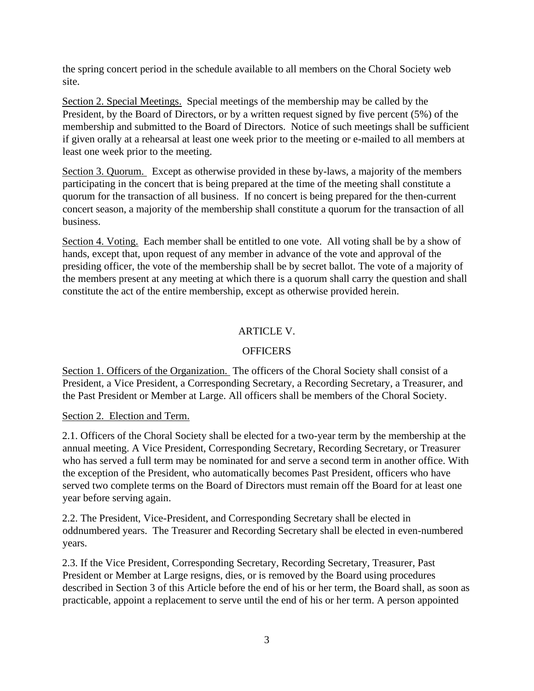the spring concert period in the schedule available to all members on the Choral Society web site.

Section 2. Special Meetings. Special meetings of the membership may be called by the President, by the Board of Directors, or by a written request signed by five percent (5%) of the membership and submitted to the Board of Directors. Notice of such meetings shall be sufficient if given orally at a rehearsal at least one week prior to the meeting or e-mailed to all members at least one week prior to the meeting.

Section 3. Quorum. Except as otherwise provided in these by-laws, a majority of the members participating in the concert that is being prepared at the time of the meeting shall constitute a quorum for the transaction of all business. If no concert is being prepared for the then-current concert season, a majority of the membership shall constitute a quorum for the transaction of all business.

Section 4. Voting. Each member shall be entitled to one vote. All voting shall be by a show of hands, except that, upon request of any member in advance of the vote and approval of the presiding officer, the vote of the membership shall be by secret ballot. The vote of a majority of the members present at any meeting at which there is a quorum shall carry the question and shall constitute the act of the entire membership, except as otherwise provided herein.

# ARTICLE V.

# **OFFICERS**

Section 1. Officers of the Organization. The officers of the Choral Society shall consist of a President, a Vice President, a Corresponding Secretary, a Recording Secretary, a Treasurer, and the Past President or Member at Large. All officers shall be members of the Choral Society.

# Section 2. Election and Term.

2.1. Officers of the Choral Society shall be elected for a two-year term by the membership at the annual meeting. A Vice President, Corresponding Secretary, Recording Secretary, or Treasurer who has served a full term may be nominated for and serve a second term in another office. With the exception of the President, who automatically becomes Past President, officers who have served two complete terms on the Board of Directors must remain off the Board for at least one year before serving again.

2.2. The President, Vice-President, and Corresponding Secretary shall be elected in oddnumbered years. The Treasurer and Recording Secretary shall be elected in even-numbered years.

2.3. If the Vice President, Corresponding Secretary, Recording Secretary, Treasurer, Past President or Member at Large resigns, dies, or is removed by the Board using procedures described in Section 3 of this Article before the end of his or her term, the Board shall, as soon as practicable, appoint a replacement to serve until the end of his or her term. A person appointed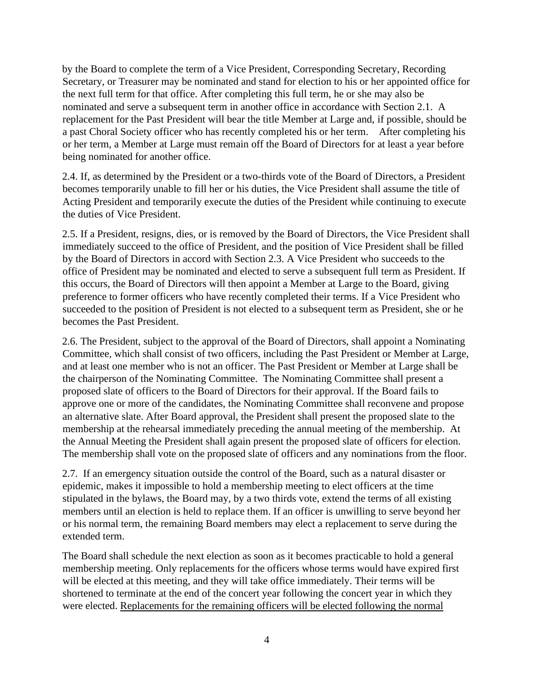by the Board to complete the term of a Vice President, Corresponding Secretary, Recording Secretary, or Treasurer may be nominated and stand for election to his or her appointed office for the next full term for that office. After completing this full term, he or she may also be nominated and serve a subsequent term in another office in accordance with Section 2.1. A replacement for the Past President will bear the title Member at Large and, if possible, should be a past Choral Society officer who has recently completed his or her term. After completing his or her term, a Member at Large must remain off the Board of Directors for at least a year before being nominated for another office.

2.4. If, as determined by the President or a two-thirds vote of the Board of Directors, a President becomes temporarily unable to fill her or his duties, the Vice President shall assume the title of Acting President and temporarily execute the duties of the President while continuing to execute the duties of Vice President.

2.5. If a President, resigns, dies, or is removed by the Board of Directors, the Vice President shall immediately succeed to the office of President, and the position of Vice President shall be filled by the Board of Directors in accord with Section 2.3. A Vice President who succeeds to the office of President may be nominated and elected to serve a subsequent full term as President. If this occurs, the Board of Directors will then appoint a Member at Large to the Board, giving preference to former officers who have recently completed their terms. If a Vice President who succeeded to the position of President is not elected to a subsequent term as President, she or he becomes the Past President.

2.6. The President, subject to the approval of the Board of Directors, shall appoint a Nominating Committee, which shall consist of two officers, including the Past President or Member at Large, and at least one member who is not an officer. The Past President or Member at Large shall be the chairperson of the Nominating Committee. The Nominating Committee shall present a proposed slate of officers to the Board of Directors for their approval. If the Board fails to approve one or more of the candidates, the Nominating Committee shall reconvene and propose an alternative slate. After Board approval, the President shall present the proposed slate to the membership at the rehearsal immediately preceding the annual meeting of the membership. At the Annual Meeting the President shall again present the proposed slate of officers for election. The membership shall vote on the proposed slate of officers and any nominations from the floor.

2.7. If an emergency situation outside the control of the Board, such as a natural disaster or epidemic, makes it impossible to hold a membership meeting to elect officers at the time stipulated in the bylaws, the Board may, by a two thirds vote, extend the terms of all existing members until an election is held to replace them. If an officer is unwilling to serve beyond her or his normal term, the remaining Board members may elect a replacement to serve during the extended term.

The Board shall schedule the next election as soon as it becomes practicable to hold a general membership meeting. Only replacements for the officers whose terms would have expired first will be elected at this meeting, and they will take office immediately. Their terms will be shortened to terminate at the end of the concert year following the concert year in which they were elected. Replacements for the remaining officers will be elected following the normal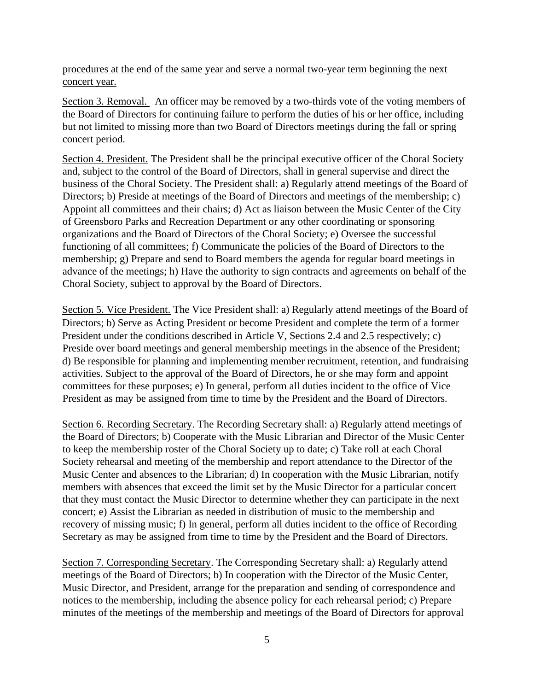procedures at the end of the same year and serve a normal two-year term beginning the next concert year.

Section 3. Removal. An officer may be removed by a two-thirds vote of the voting members of the Board of Directors for continuing failure to perform the duties of his or her office, including but not limited to missing more than two Board of Directors meetings during the fall or spring concert period.

Section 4. President. The President shall be the principal executive officer of the Choral Society and, subject to the control of the Board of Directors, shall in general supervise and direct the business of the Choral Society. The President shall: a) Regularly attend meetings of the Board of Directors; b) Preside at meetings of the Board of Directors and meetings of the membership; c) Appoint all committees and their chairs; d) Act as liaison between the Music Center of the City of Greensboro Parks and Recreation Department or any other coordinating or sponsoring organizations and the Board of Directors of the Choral Society; e) Oversee the successful functioning of all committees; f) Communicate the policies of the Board of Directors to the membership; g) Prepare and send to Board members the agenda for regular board meetings in advance of the meetings; h) Have the authority to sign contracts and agreements on behalf of the Choral Society, subject to approval by the Board of Directors.

Section 5. Vice President. The Vice President shall: a) Regularly attend meetings of the Board of Directors; b) Serve as Acting President or become President and complete the term of a former President under the conditions described in Article V, Sections 2.4 and 2.5 respectively; c) Preside over board meetings and general membership meetings in the absence of the President; d) Be responsible for planning and implementing member recruitment, retention, and fundraising activities. Subject to the approval of the Board of Directors, he or she may form and appoint committees for these purposes; e) In general, perform all duties incident to the office of Vice President as may be assigned from time to time by the President and the Board of Directors.

Section 6. Recording Secretary. The Recording Secretary shall: a) Regularly attend meetings of the Board of Directors; b) Cooperate with the Music Librarian and Director of the Music Center to keep the membership roster of the Choral Society up to date; c) Take roll at each Choral Society rehearsal and meeting of the membership and report attendance to the Director of the Music Center and absences to the Librarian; d) In cooperation with the Music Librarian, notify members with absences that exceed the limit set by the Music Director for a particular concert that they must contact the Music Director to determine whether they can participate in the next concert; e) Assist the Librarian as needed in distribution of music to the membership and recovery of missing music; f) In general, perform all duties incident to the office of Recording Secretary as may be assigned from time to time by the President and the Board of Directors.

Section 7. Corresponding Secretary. The Corresponding Secretary shall: a) Regularly attend meetings of the Board of Directors; b) In cooperation with the Director of the Music Center, Music Director, and President, arrange for the preparation and sending of correspondence and notices to the membership, including the absence policy for each rehearsal period; c) Prepare minutes of the meetings of the membership and meetings of the Board of Directors for approval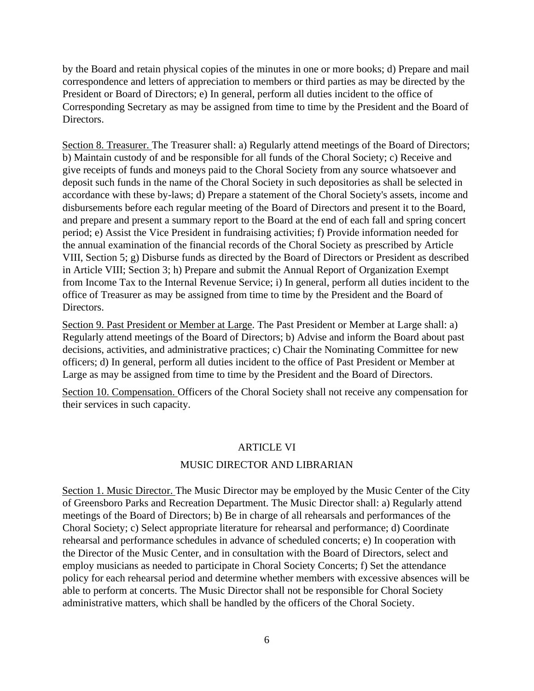by the Board and retain physical copies of the minutes in one or more books; d) Prepare and mail correspondence and letters of appreciation to members or third parties as may be directed by the President or Board of Directors; e) In general, perform all duties incident to the office of Corresponding Secretary as may be assigned from time to time by the President and the Board of Directors.

Section 8. Treasurer. The Treasurer shall: a) Regularly attend meetings of the Board of Directors; b) Maintain custody of and be responsible for all funds of the Choral Society; c) Receive and give receipts of funds and moneys paid to the Choral Society from any source whatsoever and deposit such funds in the name of the Choral Society in such depositories as shall be selected in accordance with these by-laws; d) Prepare a statement of the Choral Society's assets, income and disbursements before each regular meeting of the Board of Directors and present it to the Board, and prepare and present a summary report to the Board at the end of each fall and spring concert period; e) Assist the Vice President in fundraising activities; f) Provide information needed for the annual examination of the financial records of the Choral Society as prescribed by Article VIII, Section 5; g) Disburse funds as directed by the Board of Directors or President as described in Article VIII; Section 3; h) Prepare and submit the Annual Report of Organization Exempt from Income Tax to the Internal Revenue Service; i) In general, perform all duties incident to the office of Treasurer as may be assigned from time to time by the President and the Board of Directors.

Section 9. Past President or Member at Large. The Past President or Member at Large shall: a) Regularly attend meetings of the Board of Directors; b) Advise and inform the Board about past decisions, activities, and administrative practices; c) Chair the Nominating Committee for new officers; d) In general, perform all duties incident to the office of Past President or Member at Large as may be assigned from time to time by the President and the Board of Directors.

Section 10. Compensation. Officers of the Choral Society shall not receive any compensation for their services in such capacity.

#### ARTICLE VI

### MUSIC DIRECTOR AND LIBRARIAN

Section 1. Music Director. The Music Director may be employed by the Music Center of the City of Greensboro Parks and Recreation Department. The Music Director shall: a) Regularly attend meetings of the Board of Directors; b) Be in charge of all rehearsals and performances of the Choral Society; c) Select appropriate literature for rehearsal and performance; d) Coordinate rehearsal and performance schedules in advance of scheduled concerts; e) In cooperation with the Director of the Music Center, and in consultation with the Board of Directors, select and employ musicians as needed to participate in Choral Society Concerts; f) Set the attendance policy for each rehearsal period and determine whether members with excessive absences will be able to perform at concerts. The Music Director shall not be responsible for Choral Society administrative matters, which shall be handled by the officers of the Choral Society.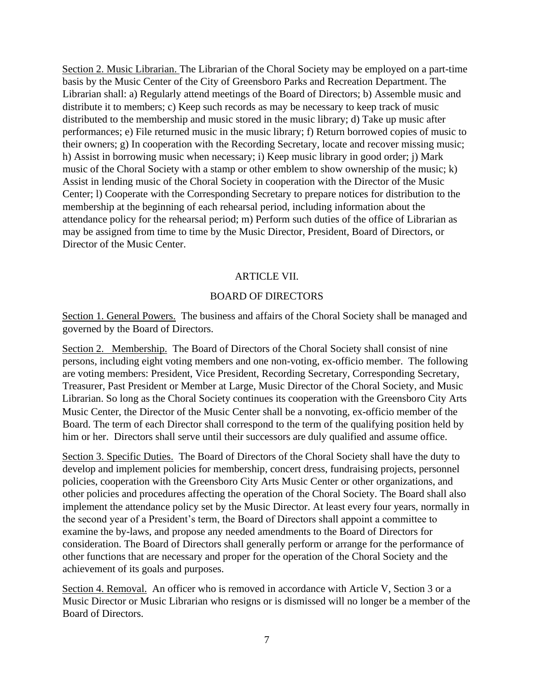Section 2. Music Librarian. The Librarian of the Choral Society may be employed on a part-time basis by the Music Center of the City of Greensboro Parks and Recreation Department. The Librarian shall: a) Regularly attend meetings of the Board of Directors; b) Assemble music and distribute it to members; c) Keep such records as may be necessary to keep track of music distributed to the membership and music stored in the music library; d) Take up music after performances; e) File returned music in the music library; f) Return borrowed copies of music to their owners; g) In cooperation with the Recording Secretary, locate and recover missing music; h) Assist in borrowing music when necessary; i) Keep music library in good order; j) Mark music of the Choral Society with a stamp or other emblem to show ownership of the music; k) Assist in lending music of the Choral Society in cooperation with the Director of the Music Center; l) Cooperate with the Corresponding Secretary to prepare notices for distribution to the membership at the beginning of each rehearsal period, including information about the attendance policy for the rehearsal period; m) Perform such duties of the office of Librarian as may be assigned from time to time by the Music Director, President, Board of Directors, or Director of the Music Center.

### ARTICLE VII.

### BOARD OF DIRECTORS

Section 1. General Powers. The business and affairs of the Choral Society shall be managed and governed by the Board of Directors.

Section 2. Membership. The Board of Directors of the Choral Society shall consist of nine persons, including eight voting members and one non-voting, ex-officio member. The following are voting members: President, Vice President, Recording Secretary, Corresponding Secretary, Treasurer, Past President or Member at Large, Music Director of the Choral Society, and Music Librarian. So long as the Choral Society continues its cooperation with the Greensboro City Arts Music Center, the Director of the Music Center shall be a nonvoting, ex-officio member of the Board. The term of each Director shall correspond to the term of the qualifying position held by him or her. Directors shall serve until their successors are duly qualified and assume office.

Section 3. Specific Duties. The Board of Directors of the Choral Society shall have the duty to develop and implement policies for membership, concert dress, fundraising projects, personnel policies, cooperation with the Greensboro City Arts Music Center or other organizations, and other policies and procedures affecting the operation of the Choral Society. The Board shall also implement the attendance policy set by the Music Director. At least every four years, normally in the second year of a President's term, the Board of Directors shall appoint a committee to examine the by-laws, and propose any needed amendments to the Board of Directors for consideration. The Board of Directors shall generally perform or arrange for the performance of other functions that are necessary and proper for the operation of the Choral Society and the achievement of its goals and purposes.

Section 4. Removal. An officer who is removed in accordance with Article V, Section 3 or a Music Director or Music Librarian who resigns or is dismissed will no longer be a member of the Board of Directors.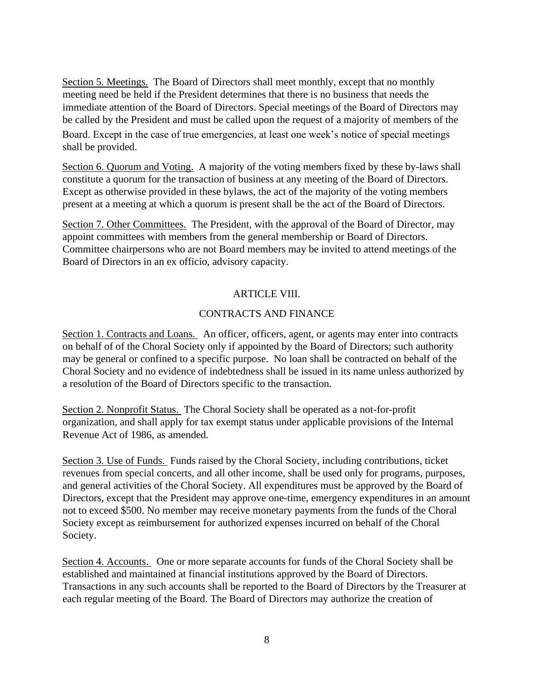Section 5. Meetings. The Board of Directors shall meet monthly, except that no monthly meeting need be held if the President determines that there is no business that needs the immediate attention of the Board of Directors. Special meetings of the Board of Directors may be called by the President and must be called upon the request of a majority of members of the Board. Except in the case of true emergencies, at least one week's notice of special meetings shall be provided.

Section 6. Quorum and Voting. A majority of the voting members fixed by these by-laws shall constitute a quorum for the transaction of business at any meeting of the Board of Directors. Except as otherwise provided in these bylaws, the act of the majority of the voting members present at a meeting at which a quorum is present shall be the act of the Board of Directors.

Section 7. Other Committees. The President, with the approval of the Board of Director, may appoint committees with members from the general membership or Board of Directors. Committee chairpersons who are not Board members may be invited to attend meetings of the Board of Directors in an ex officio, advisory capacity.

### ARTICLE VIII.

### CONTRACTS AND FINANCE

Section 1. Contracts and Loans. An officer, officers, agent, or agents may enter into contracts on behalf of of the Choral Society only if appointed by the Board of Directors; such authority may be general or confined to a specific purpose. No loan shall be contracted on behalf of the Choral Society and no evidence of indebtedness shall be issued in its name unless authorized by a resolution of the Board of Directors specific to the transaction.

Section 2. Nonprofit Status. The Choral Society shall be operated as a not-for-profit organization, and shall apply for tax exempt status under applicable provisions of the Internal Revenue Act of 1986, as amended.

Section 3. Use of Funds. Funds raised by the Choral Society, including contributions, ticket revenues from special concerts, and all other income, shall be used only for programs, purposes, and general activities of the Choral Society. All expenditures must be approved by the Board of Directors, except that the President may approve one-time, emergency expenditures in an amount not to exceed \$500. No member may receive monetary payments from the funds of the Choral Society except as reimbursement for authorized expenses incurred on behalf of the Choral Society.

Section 4. Accounts. One or more separate accounts for funds of the Choral Society shall be established and maintained at financial institutions approved by the Board of Directors. Transactions in any such accounts shall be reported to the Board of Directors by the Treasurer at each regular meeting of the Board. The Board of Directors may authorize the creation of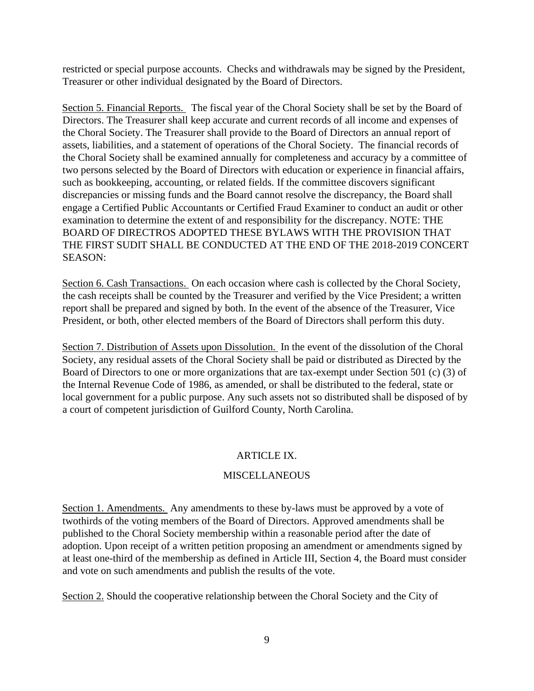restricted or special purpose accounts. Checks and withdrawals may be signed by the President, Treasurer or other individual designated by the Board of Directors.

Section 5. Financial Reports. The fiscal year of the Choral Society shall be set by the Board of Directors. The Treasurer shall keep accurate and current records of all income and expenses of the Choral Society. The Treasurer shall provide to the Board of Directors an annual report of assets, liabilities, and a statement of operations of the Choral Society. The financial records of the Choral Society shall be examined annually for completeness and accuracy by a committee of two persons selected by the Board of Directors with education or experience in financial affairs, such as bookkeeping, accounting, or related fields. If the committee discovers significant discrepancies or missing funds and the Board cannot resolve the discrepancy, the Board shall engage a Certified Public Accountants or Certified Fraud Examiner to conduct an audit or other examination to determine the extent of and responsibility for the discrepancy. NOTE: THE BOARD OF DIRECTROS ADOPTED THESE BYLAWS WITH THE PROVISION THAT THE FIRST SUDIT SHALL BE CONDUCTED AT THE END OF THE 2018-2019 CONCERT SEASON:

Section 6. Cash Transactions. On each occasion where cash is collected by the Choral Society, the cash receipts shall be counted by the Treasurer and verified by the Vice President; a written report shall be prepared and signed by both. In the event of the absence of the Treasurer, Vice President, or both, other elected members of the Board of Directors shall perform this duty.

Section 7. Distribution of Assets upon Dissolution. In the event of the dissolution of the Choral Society, any residual assets of the Choral Society shall be paid or distributed as Directed by the Board of Directors to one or more organizations that are tax-exempt under Section 501 (c) (3) of the Internal Revenue Code of 1986, as amended, or shall be distributed to the federal, state or local government for a public purpose. Any such assets not so distributed shall be disposed of by a court of competent jurisdiction of Guilford County, North Carolina.

# ARTICLE IX.

# MISCELLANEOUS

Section 1. Amendments. Any amendments to these by-laws must be approved by a vote of twothirds of the voting members of the Board of Directors. Approved amendments shall be published to the Choral Society membership within a reasonable period after the date of adoption. Upon receipt of a written petition proposing an amendment or amendments signed by at least one-third of the membership as defined in Article III, Section 4, the Board must consider and vote on such amendments and publish the results of the vote.

Section 2. Should the cooperative relationship between the Choral Society and the City of